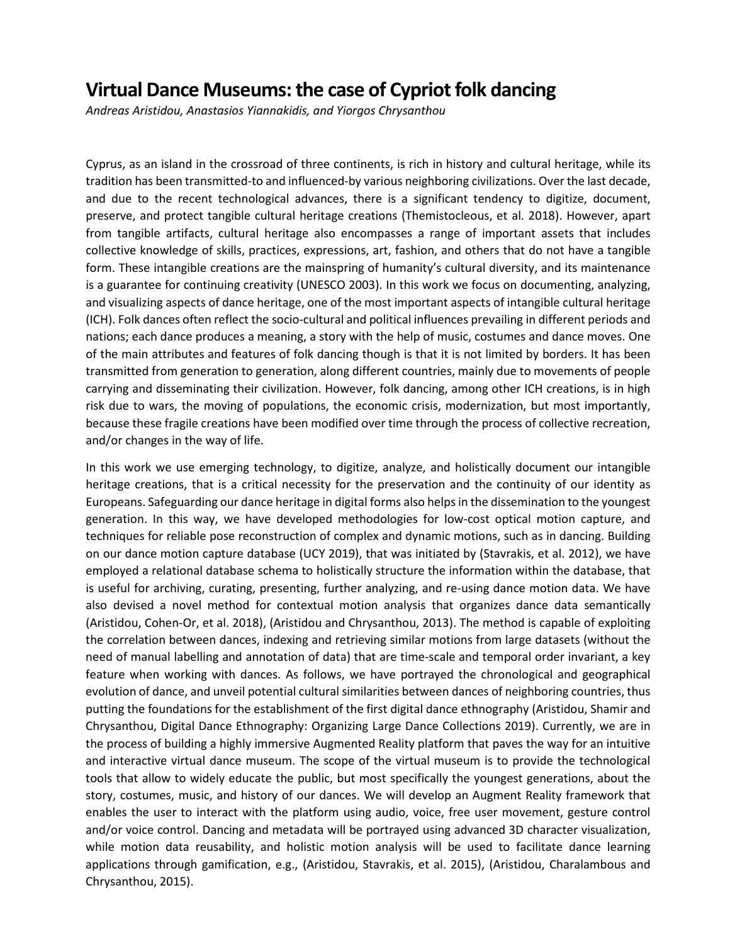## **Virtual Dance Museums: the case of Cypriot folk dancing**

*Andreas Aristidou, Anastasios Yiannakidis, and Yiorgos Chrysanthou*

Cyprus, as an island in the crossroad of three continents, is rich in history and cultural heritage, while its tradition has been transmitted-to and influenced-by various neighboring civilizations. Over the last decade, and due to the recent technological advances, there is a significant tendency to digitize, document, preserve, and protect tangible cultural heritage creations (Themistocleous, et al. 2018). However, apart from tangible artifacts, cultural heritage also encompasses a range of important assets that includes collective knowledge of skills, practices, expressions, art, fashion, and others that do not have a tangible form. These intangible creations are the mainspring of humanity's cultural diversity, and its maintenance is a guarantee for continuing creativity (UNESCO 2003). In this work we focus on documenting, analyzing, and visualizing aspects of dance heritage, one of the most important aspects of intangible cultural heritage (ICH). Folk dances often reflect the socio-cultural and political influences prevailing in different periods and nations; each dance produces a meaning, a story with the help of music, costumes and dance moves. One of the main attributes and features of folk dancing though is that it is not limited by borders. It has been transmitted from generation to generation, along different countries, mainly due to movements of people carrying and disseminating their civilization. However, folk dancing, among other ICH creations, is in high risk due to wars, the moving of populations, the economic crisis, modernization, but most importantly, because these fragile creations have been modified over time through the process of collective recreation, and/or changes in the way of life.

In this work we use emerging technology, to digitize, analyze, and holistically document our intangible heritage creations, that is a critical necessity for the preservation and the continuity of our identity as Europeans. Safeguarding our dance heritage in digital forms also helps in the dissemination to the youngest generation. In this way, we have developed methodologies for low-cost optical motion capture, and techniques for reliable pose reconstruction of complex and dynamic motions, such as in dancing. Building on our dance motion capture database (UCY 2019), that was initiated by (Stavrakis, et al. 2012), we have employed a relational database schema to holistically structure the information within the database, that is useful for archiving, curating, presenting, further analyzing, and re-using dance motion data. We have also devised a novel method for contextual motion analysis that organizes dance data semantically (Aristidou, Cohen-Or, et al. 2018), (Aristidou and Chrysanthou, 2013). The method is capable of exploiting the correlation between dances, indexing and retrieving similar motions from large datasets (without the need of manual labelling and annotation of data) that are time-scale and temporal order invariant, a key feature when working with dances. As follows, we have portrayed the chronological and geographical evolution of dance, and unveil potential cultural similarities between dances of neighboring countries, thus putting the foundations for the establishment of the first digital dance ethnography (Aristidou, Shamir and Chrysanthou, Digital Dance Ethnography: Organizing Large Dance Collections 2019). Currently, we are in the process of building a highly immersive Augmented Reality platform that paves the way for an intuitive and interactive virtual dance museum. The scope of the virtual museum is to provide the technological tools that allow to widely educate the public, but most specifically the youngest generations, about the story, costumes, music, and history of our dances. We will develop an Augment Reality framework that enables the user to interact with the platform using audio, voice, free user movement, gesture control and/or voice control. Dancing and metadata will be portrayed using advanced 3D character visualization, while motion data reusability, and holistic motion analysis will be used to facilitate dance learning applications through gamification, e.g., (Aristidou, Stavrakis, et al. 2015), (Aristidou, Charalambous and Chrysanthou, 2015).